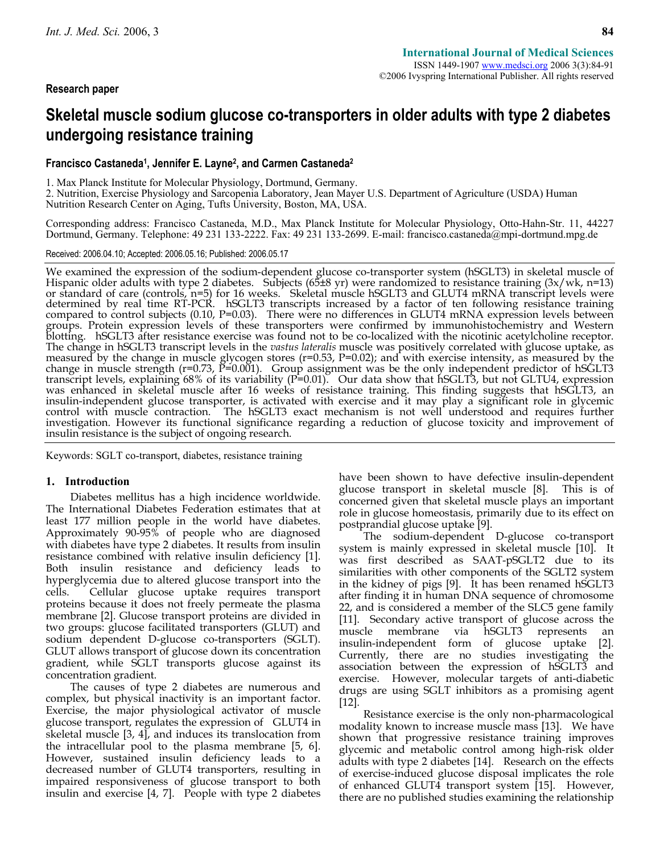## **Research paper**

# **Skeletal muscle sodium glucose co-transporters in older adults with type 2 diabetes undergoing resistance training**

## **Francisco Castaneda1, Jennifer E. Layne2, and Carmen Castaneda2**

1. Max Planck Institute for Molecular Physiology, Dortmund, Germany.

2. Nutrition, Exercise Physiology and Sarcopenia Laboratory, Jean Mayer U.S. Department of Agriculture (USDA) Human Nutrition Research Center on Aging, Tufts University, Boston, MA, USA.

Corresponding address: Francisco Castaneda, M.D., Max Planck Institute for Molecular Physiology, Otto-Hahn-Str. 11, 44227 Dortmund, Germany. Telephone: 49 231 133-2222. Fax: 49 231 133-2699. E-mail: francisco.castaneda@mpi-dortmund.mpg.de

#### Received: 2006.04.10; Accepted: 2006.05.16; Published: 2006.05.17

We examined the expression of the sodium-dependent glucose co-transporter system (hSGLT3) in skeletal muscle of Hispanic older adults with type 2 diabetes. Subjects (65±8 yr) were randomized to resistance training  $(3x/wk,$ determined by real time RT-PCK. hSGLT3 transcripts increased by a factor of ten following resistance training<br>compared to control subjects (0.10, P=0.03). There were no differences in GLUT4 mRNA expression levels between<br>g blotting. hSGLT3 after resistance exercise was found not to be co-localized with the nicotinic acetylcholine receptor.<br>The change in hSGLT3 transcript levels in the vastus lateralis muscle was positively correlated with gl measured by the change in muscle glycogen stores (r=0.53, P=0.02); and with exercise intensity, as measured by the change in muscle strength (r=0.73, P=0.001). Group assignment was be the only independent predictor of hSGLT3 transcript levels, explaining 68% of its variability (P=0.01). Our data show that hSGLT3, but not GLTU4, expression was enhanced in skeletal muscle after 16 weeks of resistance training. This finding suggests that hSGLT3, an insulin-independent glucose transporter, is activated with exercise and it may play a significant role in glycemi control with muscle contraction. The hSGLT3 exact mechanism is not well understood and requires further investigation. However its functional significance regarding a reduction of glucose toxicity and improvement of insulin resistance is the subject of ongoing research.

Keywords: SGLT co-transport, diabetes, resistance training

#### **1. Introduction**

Diabetes mellitus has a high incidence worldwide. The International Diabetes Federation estimates that at least 177 million people in the world have diabetes. Approximately 90-95% of people who are diagnosed with diabetes have type 2 diabetes. It results from insulin resistance combined with relative insulin deficiency [1]. Both insulin resistance and deficiency leads to hyperglycemia due to altered glucose transport into the cells. Cellular glucose uptake requires transport proteins because it does not freely permeate the plasma membrane [2]. Glucose transport proteins are divided in two groups: glucose facilitated transporters (GLUT) and sodium dependent D-glucose co-transporters (SGLT). GLUT allows transport of glucose down its concentration gradient, while SGLT transports glucose against its concentration gradient.

The causes of type 2 diabetes are numerous and complex, but physical inactivity is an important factor. Exercise, the major physiological activator of muscle glucose transport, regulates the expression of GLUT4 in skeletal muscle [3, 4], and induces its translocation from the intracellular pool to the plasma membrane [5, 6]. However, sustained insulin deficiency leads to a decreased number of GLUT4 transporters, resulting in impaired responsiveness of glucose transport to both insulin and exercise [4, 7]. People with type 2 diabetes

have been shown to have defective insulin-dependent glucose transport in skeletal muscle [8]. This is of glucose transport in skeletal muscle [8]. concerned given that skeletal muscle plays an important role in glucose homeostasis, primarily due to its effect on postprandial glucose uptake [9].

The sodium-dependent D-glucose co-transport system is mainly expressed in skeletal muscle [10]. It was first described as SAAT-pSGLT2 due to its similarities with other components of the SGLT2 system in the kidney of pigs [9]. It has been renamed hSGLT3 after finding it in human DNA sequence of chromosome 22, and is considered a member of the SLC5 gene family [11]. Secondary active transport of glucose across the muscle membrane via hSGLT3 represents an insulin-independent form of glucose uptake [2]. Currently, there are no studies investigating the association between the expression of hSGLT3 and exercise. However, molecular targets of anti-diabetic drugs are using SGLT inhibitors as a promising agent [12].

Resistance exercise is the only non-pharmacological modality known to increase muscle mass [13]. We have shown that progressive resistance training improves glycemic and metabolic control among high-risk older adults with type 2 diabetes [14]. Research on the effects of exercise-induced glucose disposal implicates the role of enhanced GLUT4 transport system [15]. However, there are no published studies examining the relationship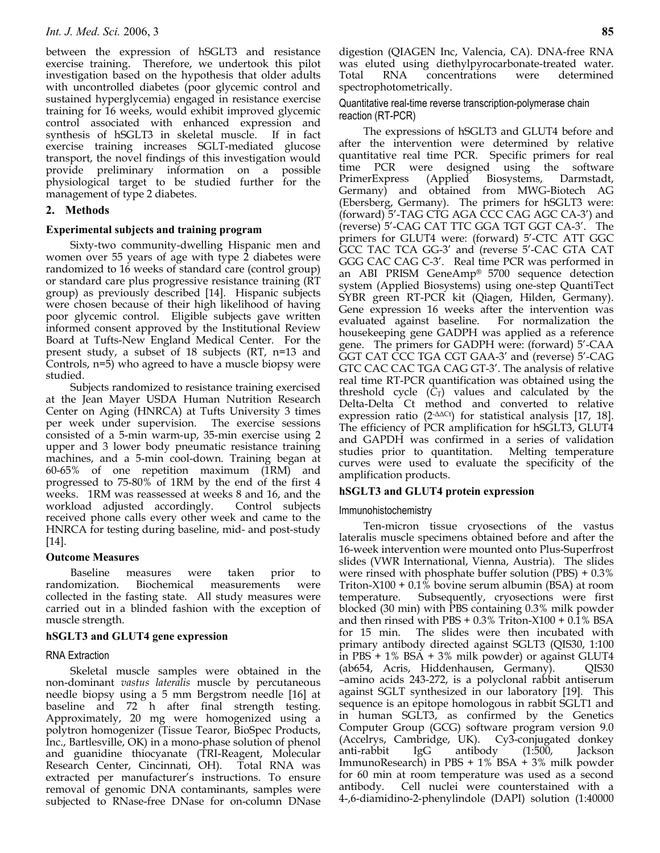between the expression of hSGLT3 and resistance exercise training. Therefore, we undertook this pilot investigation based on the hypothesis that older adults with uncontrolled diabetes (poor glycemic control and sustained hyperglycemia) engaged in resistance exercise training for 16 weeks, would exhibit improved glycemic control associated with enhanced expression and synthesis of hSGLT3 in skeletal muscle. If in fact exercise training increases SGLT-mediated glucose transport, the novel findings of this investigation would provide preliminary information on a possible physiological target to be studied further for the management of type 2 diabetes.

# **2. Methods**

## **Experimental subjects and training program**

Sixty-two community-dwelling Hispanic men and women over 55 years of age with type 2 diabetes were randomized to 16 weeks of standard care (control group) or standard care plus progressive resistance training (RT group) as previously described [14]. Hispanic subjects were chosen because of their high likelihood of having poor glycemic control. Eligible subjects gave written informed consent approved by the Institutional Review Board at Tufts-New England Medical Center. For the present study, a subset of 18 subjects (RT, n=13 and Controls, n=5) who agreed to have a muscle biopsy were studied.

Subjects randomized to resistance training exercised at the Jean Mayer USDA Human Nutrition Research Center on Aging (HNRCA) at Tufts University 3 times per week under supervision. The exercise sessions consisted of a 5-min warm-up, 35-min exercise using 2 upper and 3 lower body pneumatic resistance training machines, and a 5-min cool-down. Training began at 60-65% of one repetition maximum (1RM) and progressed to 75-80% of 1RM by the end of the first 4 weeks. 1RM was reassessed at weeks 8 and 16, and the workload adjusted accordingly. Control subjects workload adjusted accordingly. received phone calls every other week and came to the HNRCA for testing during baseline, mid- and post-study [14].

## **Outcome Measures**

Baseline measures were taken prior to randomization. Biochemical measurements were collected in the fasting state. All study measures were carried out in a blinded fashion with the exception of muscle strength.

## **hSGLT3 and GLUT4 gene expression**

# RNA Extraction

Skeletal muscle samples were obtained in the non-dominant *vastus lateralis* muscle by percutaneous needle biopsy using a 5 mm Bergstrom needle [16] at baseline and 72 h after final strength testing. Approximately, 20 mg were homogenized using a polytron homogenizer (Tissue Tearor, BioSpec Products, Inc., Bartlesville, OK) in a mono-phase solution of phenol and guanidine thiocyanate (TRI-Reagent, Molecular Research Center, Cincinnati, OH). extracted per manufacturer's instructions. To ensure removal of genomic DNA contaminants, samples were subjected to RNase-free DNase for on-column DNase

digestion (QIAGEN Inc, Valencia, CA). DNA-free RNA was eluted using diethylpyrocarbonate-treated water. Total RNA concentrations were determined spectrophotometrically.

Quantitative real-time reverse transcription-polymerase chain reaction (RT-PCR)

The expressions of hSGLT3 and GLUT4 before and after the intervention were determined by relative quantitative real time PCR. Specific primers for real time PCR were designed using the software<br>PrimerExpress (Applied Biosystems, Darmstadt, PrimerExpress (Applied Biosystems, Darmstadt, Germany) and obtained from MWG-Biotech AG (Ebersberg, Germany). The primers for hSGLT3 were: (forward) 5'-TAG CTG AGA CCC CAG AGC CA-3') and (reverse) 5'-CAG CAT TTC GGA TGT GGT CA-3'. The primers for GLUT4 were: (forward) 5'-CTC ATT GGC GCC TAC TCA GG-3' and (reverse 5'-CAC GTA CAT GGG CAC CAG C-3'. Real time PCR was performed in an ABI PRISM GeneAmp® 5700 sequence detection system (Applied Biosystems) using one-step QuantiTect SYBR green RT-PCR kit (Qiagen, Hilden, Germany). Gene expression 16 weeks after the intervention was evaluated against baseline. For normalization the housekeeping gene GADPH was applied as a reference gene. The primers for GADPH were: (forward) 5'-CAA GGT CAT CCC TGA CGT GAA-3' and (reverse) 5'-CAG GTC CAC CAC TGA CAG GT-3'. The analysis of relative real time RT-PCR quantification was obtained using the threshold cycle  $(C_T)$  values and calculated by the Delta-Delta Ct method and converted to relative expression ratio (2-ΔΔCt) for statistical analysis [17, 18]. The efficiency of PCR amplification for hSGLT3, GLUT4 and GAPDH was confirmed in a series of validation studies prior to quantitation. Melting temperature curves were used to evaluate the specificity of the amplification products.

# **hSGLT3 and GLUT4 protein expression**

## Immunohistochemistry

Ten-micron tissue cryosections of the vastus lateralis muscle specimens obtained before and after the 16-week intervention were mounted onto Plus-Superfrost slides (VWR International, Vienna, Austria). The slides were rinsed with phosphate buffer solution (PBS) + 0.3% Triton-X100 + 0.1% bovine serum albumin (BSA) at room temperature. Subsequently, cryosections were first blocked (30 min) with PBS containing 0.3% milk powder and then rinsed with PBS +  $0.3\%$  Triton-X100 +  $0.1\%$  BSA for 15 min. The slides were then incubated with primary antibody directed against SGLT3 (QIS30, 1:100 in PBS + 1% BSA + 3% milk powder) or against GLUT4 (ab654, Acris, Hiddenhausen, Germany). QIS30 –amino acids 243-272, is a polyclonal rabbit antiserum against SGLT synthesized in our laboratory [19]. This sequence is an epitope homologous in rabbit SGLT1 and in human SGLT3, as confirmed by the Genetics Computer Group (GCG) software program version 9.0 (Accelrys, Cambridge, UK). Cy3-conjugated donkey anti-rabbit IgG antibody (1:500, Jackson ImmunoResearch) in PBS + 1% BSA + 3% milk powder for 60 min at room temperature was used as a second antibody. Cell nuclei were counterstained with a 4-,6-diamidino-2-phenylindole (DAPI) solution (1:40000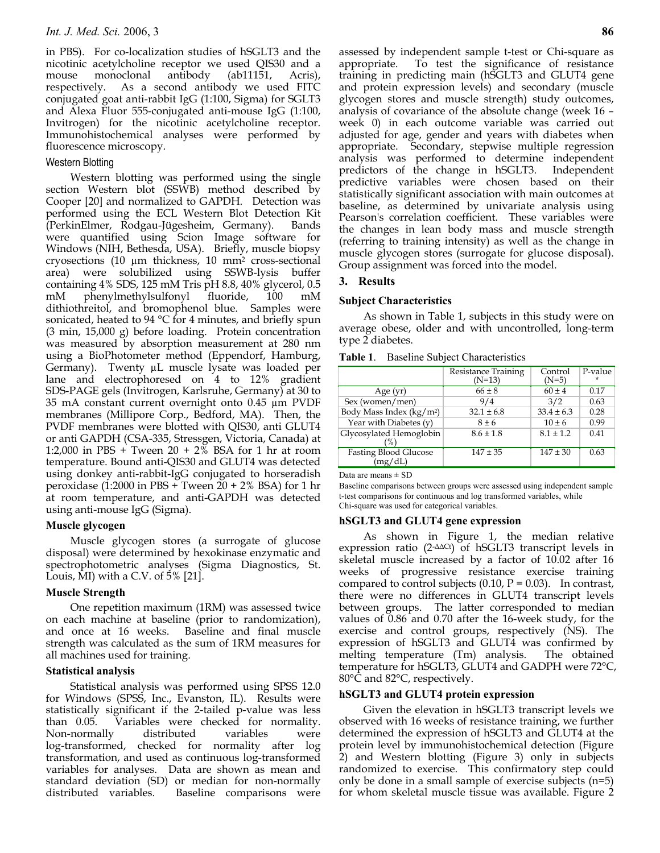in PBS). For co-localization studies of hSGLT3 and the nicotinic acetylcholine receptor we used QIS30 and a mouse monoclonal antibody (ab11151, Acris), respectively. As a second antibody we used FITC conjugated goat anti-rabbit IgG (1:100, Sigma) for SGLT3 and Alexa Fluor 555-conjugated anti-mouse IgG (1:100, Invitrogen) for the nicotinic acetylcholine receptor. Immunohistochemical analyses were performed by fluorescence microscopy.

## Western Blotting

Western blotting was performed using the single section Western blot (SSWB) method described by Cooper [20] and normalized to GAPDH. Detection was performed using the ECL Western Blot Detection Kit (PerkinElmer, Rodgau-Jügesheim, Germany). Bands were quantified using Scion Image software for Windows (NIH, Bethesda, USA). Briefly, muscle biopsy cryosections (10 µm thickness, 10 mm2 cross-sectional area) were solubilized using SSWB-lysis buffer containing 4% SDS, 125 mM Tris pH 8.8, 40% glycerol, 0.5 mM phenylmethylsulfonyl fluoride, 100 mM dithiothreitol, and bromophenol blue. Samples were sonicated, heated to 94 °C for 4 minutes, and briefly spun (3 min, 15,000 g) before loading. Protein concentration was measured by absorption measurement at 280 nm using a BioPhotometer method (Eppendorf, Hamburg, Germany). Twenty µL muscle lysate was loaded per lane and electrophoresed on 4 to 12% gradient SDS-PAGE gels (Invitrogen, Karlsruhe, Germany) at 30 to 35 mA constant current overnight onto 0.45 µm PVDF membranes (Millipore Corp., Bedford, MA). Then, the PVDF membranes were blotted with QIS30, anti GLUT4 or anti GAPDH (CSA-335, Stressgen, Victoria, Canada) at 1:2,000 in PBS + Tween 20 + 2% BSA for 1 hr at room temperature. Bound anti-QIS30 and GLUT4 was detected using donkey anti-rabbit-IgG conjugated to horseradish peroxidase (1:2000 in PBS + Tween 20 + 2% BSA) for 1 hr at room temperature, and anti-GAPDH was detected using anti-mouse IgG (Sigma).

#### **Muscle glycogen**

Muscle glycogen stores (a surrogate of glucose disposal) were determined by hexokinase enzymatic and spectrophotometric analyses (Sigma Diagnostics, St. Louis, MI) with a C.V. of 5% [21].

#### **Muscle Strength**

One repetition maximum (1RM) was assessed twice on each machine at baseline (prior to randomization), and once at 16 weeks. Baseline and final muscle strength was calculated as the sum of 1RM measures for all machines used for training.

#### **Statistical analysis**

Statistical analysis was performed using SPSS 12.0 for Windows (SPSS, Inc., Evanston, IL). Results were statistically significant if the 2-tailed p-value was less than 0.05. Variables were checked for normality. Non-normally distributed variables were log-transformed, checked for normality after log transformation, and used as continuous log-transformed variables for analyses. Data are shown as mean and standard deviation (SD) or median for non-normally distributed variables. Baseline comparisons were

assessed by independent sample t-test or Chi-square as appropriate. To test the significance of resistance training in predicting main (hSGLT3 and GLUT4 gene and protein expression levels) and secondary (muscle glycogen stores and muscle strength) study outcomes, analysis of covariance of the absolute change (week 16 – week 0) in each outcome variable was carried out adjusted for age, gender and years with diabetes when appropriate. Secondary, stepwise multiple regression analysis was performed to determine independent predictors of the change in hSGLT3. Independent predictive variables were chosen based on their statistically significant association with main outcomes at baseline, as determined by univariate analysis using Pearson's correlation coefficient. These variables were the changes in lean body mass and muscle strength (referring to training intensity) as well as the change in muscle glycogen stores (surrogate for glucose disposal). Group assignment was forced into the model.

## **3. Results**

#### **Subject Characteristics**

As shown in Table 1, subjects in this study were on average obese, older and with uncontrolled, long-term type 2 diabetes.

|                                          | <b>Resistance Training</b><br>$(N=13)$ | Control<br>$(N=5)$ | P-value<br>$\star$ |
|------------------------------------------|----------------------------------------|--------------------|--------------------|
| Age $(yr)$                               | $66 \pm 8$                             | $60 \pm 4$         | 0.17               |
| Sex (women/men)                          | 9/4                                    | 3/2                | 0.63               |
| Body Mass Index (kg/m <sup>2</sup> )     | $32.1 \pm 6.8$                         | $33.4 \pm 6.3$     | 0.28               |
| Year with Diabetes $(y)$                 | $8 \pm 6$                              | $10 \pm 6$         | 0.99               |
| Glycosylated Hemoglobin<br>$\frac{9}{6}$ | $8.6 \pm 1.8$                          | $8.1 \pm 1.2$      | 0.41               |
| <b>Fasting Blood Glucose</b><br>(mg/dL)  | $147 \pm 35$                           | $147 \pm 30$       | 0.63               |

Data are means  $\pm$  SD

Baseline comparisons between groups were assessed using independent sample t-test comparisons for continuous and log transformed variables, while Chi-square was used for categorical variables.

## **hSGLT3 and GLUT4 gene expression**

As shown in Figure 1, the median relative expression ratio (2-ΔΔCt) of hSGLT3 transcript levels in skeletal muscle increased by a factor of 10.02 after 16 weeks of progressive resistance exercise training compared to control subjects  $(0.10, P = 0.03)$ . In contrast, there were no differences in GLUT4 transcript levels between groups. The latter corresponded to median values of 0.86 and 0.70 after the 16-week study, for the exercise and control groups, respectively (NS). The expression of hSGLT3 and GLUT4 was confirmed by melting temperature (Tm) analysis. The obtained temperature for hSGLT3, GLUT4 and GADPH were 72°C, 80°C and 82°C, respectively.

#### **hSGLT3 and GLUT4 protein expression**

Given the elevation in hSGLT3 transcript levels we observed with 16 weeks of resistance training, we further determined the expression of hSGLT3 and GLUT4 at the protein level by immunohistochemical detection (Figure 2) and Western blotting (Figure 3) only in subjects randomized to exercise. This confirmatory step could only be done in a small sample of exercise subjects (n=5) for whom skeletal muscle tissue was available. Figure 2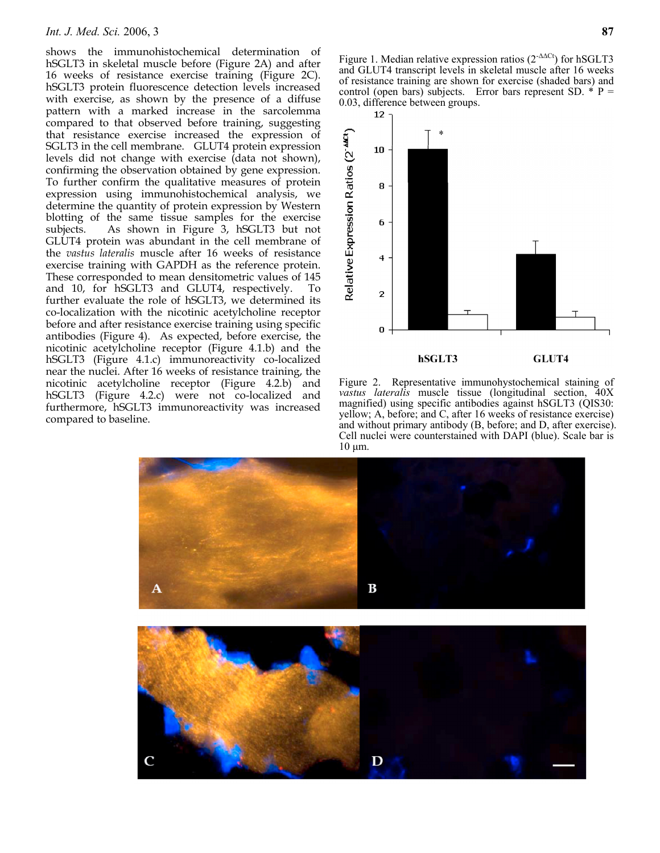#### *Int. J. Med. Sci.* 2006, 3 **87**

shows the immunohistochemical determination of hSGLT3 in skeletal muscle before (Figure 2A) and after 16 weeks of resistance exercise training (Figure 2C). hSGLT3 protein fluorescence detection levels increased with exercise, as shown by the presence of a diffuse pattern with a marked increase in the sarcolemma compared to that observed before training, suggesting that resistance exercise increased the expression of SGLT3 in the cell membrane. GLUT4 protein expression levels did not change with exercise (data not shown), confirming the observation obtained by gene expression. To further confirm the qualitative measures of protein expression using immunohistochemical analysis, we determine the quantity of protein expression by Western blotting of the same tissue samples for the exercise subjects. As shown in Figure 3, hSGLT3 but not GLUT4 protein was abundant in the cell membrane of the *vastus lateralis* muscle after 16 weeks of resistance exercise training with GAPDH as the reference protein. These corresponded to mean densitometric values of 145 and 10, for hSGLT3 and GLUT4, respectively. To further evaluate the role of hSGLT3, we determined its co-localization with the nicotinic acetylcholine receptor before and after resistance exercise training using specific antibodies (Figure 4). As expected, before exercise, the nicotinic acetylcholine receptor (Figure 4.1.b) and the hSGLT3 (Figure 4.1.c) immunoreactivity co-localized near the nuclei. After 16 weeks of resistance training, the nicotinic acetylcholine receptor (Figure 4.2.b) and hSGLT3 (Figure 4.2.c) were not co-localized and furthermore, hSGLT3 immunoreactivity was increased compared to baseline.

Figure 1. Median relative expression ratios  $(2^{-\Delta\Delta Ct})$  for hSGLT3 and GLUT4 transcript levels in skeletal muscle after 16 weeks of resistance training are shown for exercise (shaded bars) and control (open bars) subjects. Error bars represent SD.  $*$  P = 0.03, difference between groups.



Figure 2.Representative immunohystochemical staining of *vastus lateralis* muscle tissue (longitudinal section, 40X magnified) using specific antibodies against hSGLT3 (QIS30: yellow; A, before; and C, after 16 weeks of resistance exercise) and without primary antibody (B, before; and D, after exercise). Cell nuclei were counterstained with DAPI (blue). Scale bar is 10 μm.

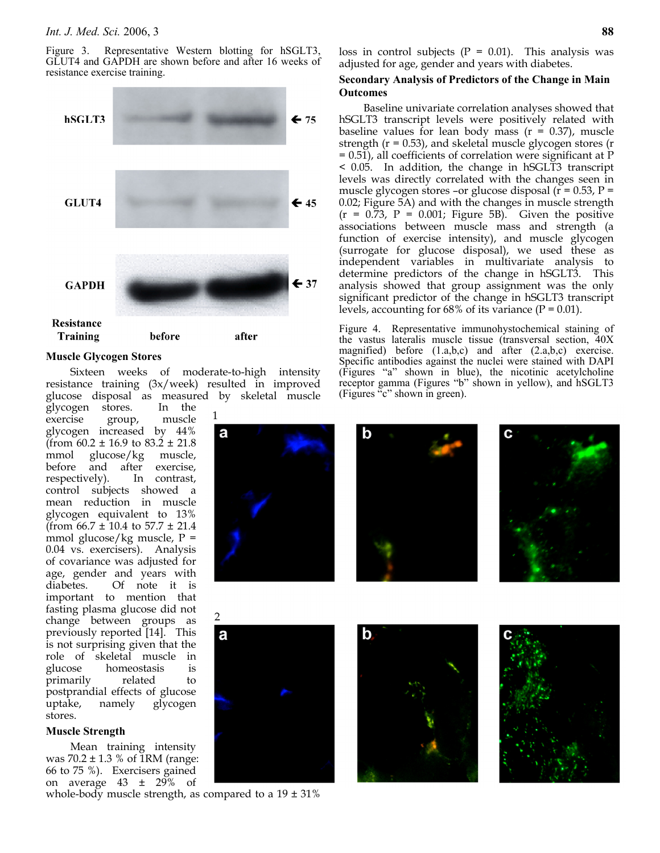Figure 3. Representative Western blotting for hSGLT3, GLUT4 and GAPDH are shown before and after 16 weeks of resistance exercise training.



#### **Muscle Glycogen Stores**

Sixteen weeks of moderate-to-high intensity resistance training (3x/week) resulted in improved glucose disposal as measured by skeletal muscle

glycogen stores. In the exercise group, muscle glycogen increased by 44% (from  $60.2 \pm 16.9$  to  $83.2 \pm 21.8$ mmol glucose/kg muscle, before and after exercise, respectively). In contrast, control subjects showed a mean reduction in muscle glycogen equivalent to 13%  $($ from 66.7  $\pm$  10.4 to 57.7  $\pm$  21.4 mmol glucose/kg muscle, P = 0.04 vs. exercisers). Analysis of covariance was adjusted for age, gender and years with diabetes. Of note it is important to mention that fasting plasma glucose did not change between groups as previously reported [14]. This is not surprising given that the role of skeletal muscle in glucose homeostasis is primarily related to postprandial effects of glucose uptake, namely glycogen stores.

## **Muscle Strength**

Mean training intensity was  $70.2 \pm 1.3$  % of 1RM (range: 66 to 75 %). Exercisers gained on average  $43 \pm 29\%$  of

whole-body muscle strength, as compared to a  $19 \pm 31\%$ 

loss in control subjects  $(P = 0.01)$ . This analysis was adjusted for age, gender and years with diabetes.

#### **Secondary Analysis of Predictors of the Change in Main Outcomes**

Baseline univariate correlation analyses showed that hSGLT3 transcript levels were positively related with baseline values for lean body mass  $(r = 0.37)$ , muscle strength  $(r = 0.53)$ , and skeletal muscle glycogen stores  $(r = 0.53)$ = 0.51), all coefficients of correlation were significant at P < 0.05. In addition, the change in hSGLT3 transcript levels was directly correlated with the changes seen in muscle glycogen stores –or glucose disposal ( $r = 0.53$ ,  $P =$ 0.02; Figure 5A) and with the changes in muscle strength  $(r = 0.73, P = 0.001;$  Figure 5B). Given the positive associations between muscle mass and strength (a function of exercise intensity), and muscle glycogen (surrogate for glucose disposal), we used these as independent variables in multivariate analysis to determine predictors of the change in hSGLT3. This analysis showed that group assignment was the only significant predictor of the change in hSGLT3 transcript levels, accounting for 68% of its variance ( $P = 0.01$ ).

Figure 4. Representative immunohystochemical staining of the vastus lateralis muscle tissue (transversal section, 40X magnified) before (1.a,b,c) and after (2.a,b,c) exercise. Specific antibodies against the nuclei were stained with DAPI (Figures "a" shown in blue), the nicotinic acetylcholine receptor gamma (Figures "b" shown in yellow), and hSGLT3 (Figures "c" shown in green).

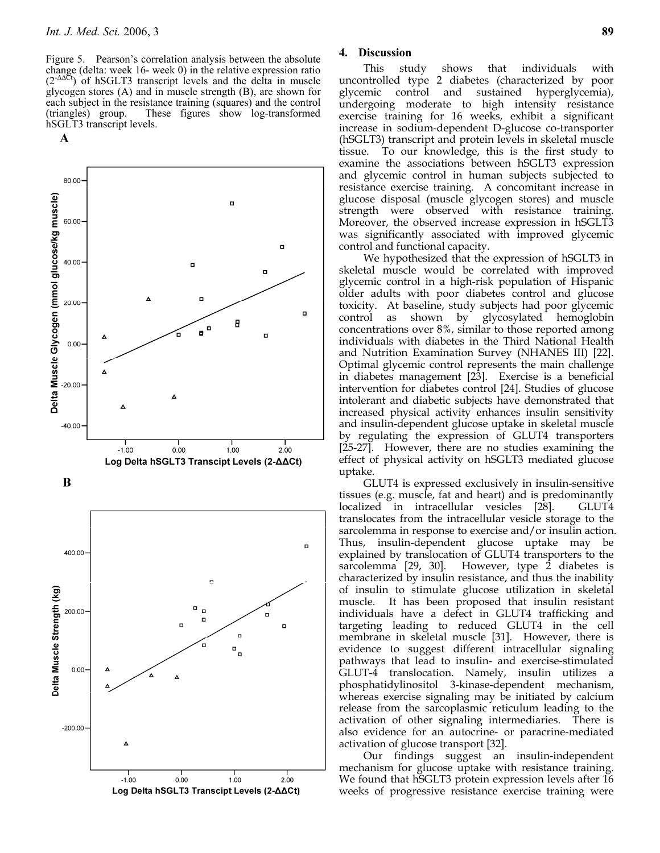Figure 5. Pearson's correlation analysis between the absolute change (delta: week 16- week 0) in the relative expression ratio  $(2^{-\Delta\Delta Ct})$  of hSGLT3 transcript levels and the delta in muscle glycogen stores (A) and in muscle strength (B), are shown for each subject in the resistance training (squares) and the control (triangles) group. These figures show log-transformed hSGLT3 transcript levels.

 $\mathbf A$ 





## **4. Discussion**

This study shows that individuals with uncontrolled type 2 diabetes (characterized by poor glycemic control and sustained hyperglycemia), undergoing moderate to high intensity resistance exercise training for 16 weeks, exhibit a significant increase in sodium-dependent D-glucose co-transporter (hSGLT3) transcript and protein levels in skeletal muscle tissue. To our knowledge, this is the first study to examine the associations between hSGLT3 expression and glycemic control in human subjects subjected to resistance exercise training. A concomitant increase in glucose disposal (muscle glycogen stores) and muscle strength were observed with resistance training. Moreover, the observed increase expression in hSGLT3 was significantly associated with improved glycemic control and functional capacity.

We hypothesized that the expression of hSGLT3 in skeletal muscle would be correlated with improved glycemic control in a high-risk population of Hispanic older adults with poor diabetes control and glucose toxicity. At baseline, study subjects had poor glycemic control as shown by glycosylated hemoglobin concentrations over 8%, similar to those reported among individuals with diabetes in the Third National Health and Nutrition Examination Survey (NHANES III) [22]. Optimal glycemic control represents the main challenge in diabetes management [23]. Exercise is a beneficial intervention for diabetes control [24]. Studies of glucose intolerant and diabetic subjects have demonstrated that increased physical activity enhances insulin sensitivity and insulin-dependent glucose uptake in skeletal muscle by regulating the expression of GLUT4 transporters [25-27]. However, there are no studies examining the effect of physical activity on hSGLT3 mediated glucose uptake.

GLUT4 is expressed exclusively in insulin-sensitive tissues (e.g. muscle, fat and heart) and is predominantly localized in intracellular vesicles [28]. GLUT4 translocates from the intracellular vesicle storage to the sarcolemma in response to exercise and/or insulin action. Thus, insulin-dependent glucose uptake may be explained by translocation of GLUT4 transporters to the sarcolemma [29, 30]. However, type 2 diabetes is characterized by insulin resistance, and thus the inability of insulin to stimulate glucose utilization in skeletal muscle. It has been proposed that insulin resistant individuals have a defect in GLUT4 trafficking and targeting leading to reduced GLUT4 in the cell membrane in skeletal muscle [31]. However, there is evidence to suggest different intracellular signaling pathways that lead to insulin- and exercise-stimulated GLUT-4 translocation. Namely, insulin utilizes a phosphatidylinositol 3-kinase-dependent mechanism, whereas exercise signaling may be initiated by calcium release from the sarcoplasmic reticulum leading to the activation of other signaling intermediaries. There is also evidence for an autocrine- or paracrine-mediated activation of glucose transport [32].

Our findings suggest an insulin-independent mechanism for glucose uptake with resistance training. We found that hSGLT3 protein expression levels after 16 weeks of progressive resistance exercise training were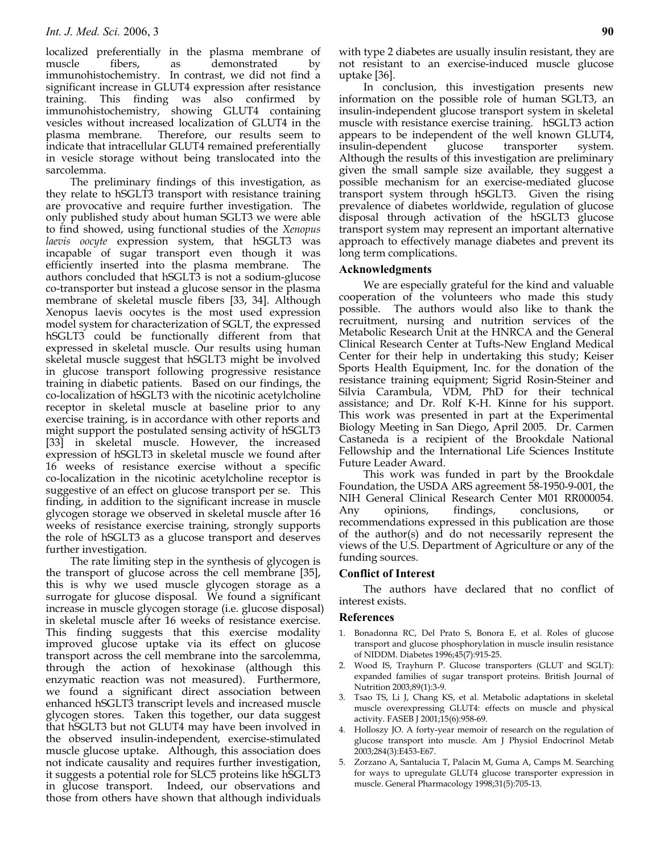localized preferentially in the plasma membrane of muscle fibers, as demonstrated by immunohistochemistry. In contrast, we did not find a significant increase in GLUT4 expression after resistance training. This finding was also confirmed by immunohistochemistry, showing GLUT4 containing vesicles without increased localization of GLUT4 in the plasma membrane. Therefore, our results seem to indicate that intracellular GLUT4 remained preferentially in vesicle storage without being translocated into the sarcolemma.

The preliminary findings of this investigation, as they relate to hSGLT3 transport with resistance training are provocative and require further investigation. The only published study about human SGLT3 we were able to find showed, using functional studies of the *Xenopus laevis oocyte* expression system, that hSGLT3 was incapable of sugar transport even though it was efficiently inserted into the plasma membrane. The authors concluded that hSGLT3 is not a sodium-glucose co-transporter but instead a glucose sensor in the plasma membrane of skeletal muscle fibers [33, 34]. Although Xenopus laevis oocytes is the most used expression model system for characterization of SGLT, the expressed hSGLT3 could be functionally different from that expressed in skeletal muscle. Our results using human skeletal muscle suggest that hSGLT3 might be involved in glucose transport following progressive resistance training in diabetic patients. Based on our findings, the co-localization of hSGLT3 with the nicotinic acetylcholine receptor in skeletal muscle at baseline prior to any exercise training, is in accordance with other reports and might support the postulated sensing activity of hSGLT3 [33] in skeletal muscle. However, the increased expression of hSGLT3 in skeletal muscle we found after 16 weeks of resistance exercise without a specific co-localization in the nicotinic acetylcholine receptor is suggestive of an effect on glucose transport per se. This finding, in addition to the significant increase in muscle glycogen storage we observed in skeletal muscle after 16 weeks of resistance exercise training, strongly supports the role of hSGLT3 as a glucose transport and deserves further investigation.

The rate limiting step in the synthesis of glycogen is the transport of glucose across the cell membrane [35], this is why we used muscle glycogen storage as a surrogate for glucose disposal. We found a significant increase in muscle glycogen storage (i.e. glucose disposal) in skeletal muscle after 16 weeks of resistance exercise. This finding suggests that this exercise modality improved glucose uptake via its effect on glucose transport across the cell membrane into the sarcolemma, through the action of hexokinase (although this enzymatic reaction was not measured). Furthermore, we found a significant direct association between enhanced hSGLT3 transcript levels and increased muscle glycogen stores. Taken this together, our data suggest that hSGLT3 but not GLUT4 may have been involved in the observed insulin-independent, exercise-stimulated muscle glucose uptake. Although, this association does not indicate causality and requires further investigation, it suggests a potential role for SLC5 proteins like hSGLT3 in glucose transport. Indeed, our observations and those from others have shown that although individuals

with type 2 diabetes are usually insulin resistant, they are not resistant to an exercise-induced muscle glucose uptake [36].

In conclusion, this investigation presents new information on the possible role of human SGLT3, an insulin-independent glucose transport system in skeletal muscle with resistance exercise training. hSGLT3 action appears to be independent of the well known GLUT4, insulin-dependent glucose transporter system. Although the results of this investigation are preliminary given the small sample size available, they suggest a possible mechanism for an exercise-mediated glucose transport system through hSGLT3. Given the rising prevalence of diabetes worldwide, regulation of glucose disposal through activation of the hSGLT3 glucose transport system may represent an important alternative approach to effectively manage diabetes and prevent its long term complications.

#### **Acknowledgments**

We are especially grateful for the kind and valuable cooperation of the volunteers who made this study possible. The authors would also like to thank the recruitment, nursing and nutrition services of the Metabolic Research Unit at the HNRCA and the General Clinical Research Center at Tufts-New England Medical Center for their help in undertaking this study; Keiser Sports Health Equipment, Inc. for the donation of the resistance training equipment; Sigrid Rosin-Steiner and Silvia Carambula, VDM, PhD for their technical assistance; and Dr. Rolf K-H. Kinne for his support. This work was presented in part at the Experimental Biology Meeting in San Diego, April 2005. Dr. Carmen Castaneda is a recipient of the Brookdale National Fellowship and the International Life Sciences Institute Future Leader Award.

This work was funded in part by the Brookdale Foundation, the USDA ARS agreement 58-1950-9-001, the NIH General Clinical Research Center M01 RR000054. Any opinions, findings, conclusions, recommendations expressed in this publication are those of the author(s) and do not necessarily represent the views of the U.S. Department of Agriculture or any of the funding sources.

#### **Conflict of Interest**

The authors have declared that no conflict of interest exists.

#### **References**

- 1. Bonadonna RC, Del Prato S, Bonora E, et al. Roles of glucose transport and glucose phosphorylation in muscle insulin resistance of NIDDM. Diabetes 1996;45(7):915-25.
- 2. Wood IS, Trayhurn P. Glucose transporters (GLUT and SGLT): expanded families of sugar transport proteins. British Journal of Nutrition 2003;89(1):3-9.
- 3. Tsao TS, Li J, Chang KS, et al. Metabolic adaptations in skeletal muscle overexpressing GLUT4: effects on muscle and physical activity. FASEB J 2001;15(6):958-69.
- 4. Holloszy JO. A forty-year memoir of research on the regulation of glucose transport into muscle. Am J Physiol Endocrinol Metab 2003;284(3):E453-E67.
- 5. Zorzano A, Santalucia T, Palacin M, Guma A, Camps M. Searching for ways to upregulate GLUT4 glucose transporter expression in muscle. General Pharmacology 1998;31(5):705-13.